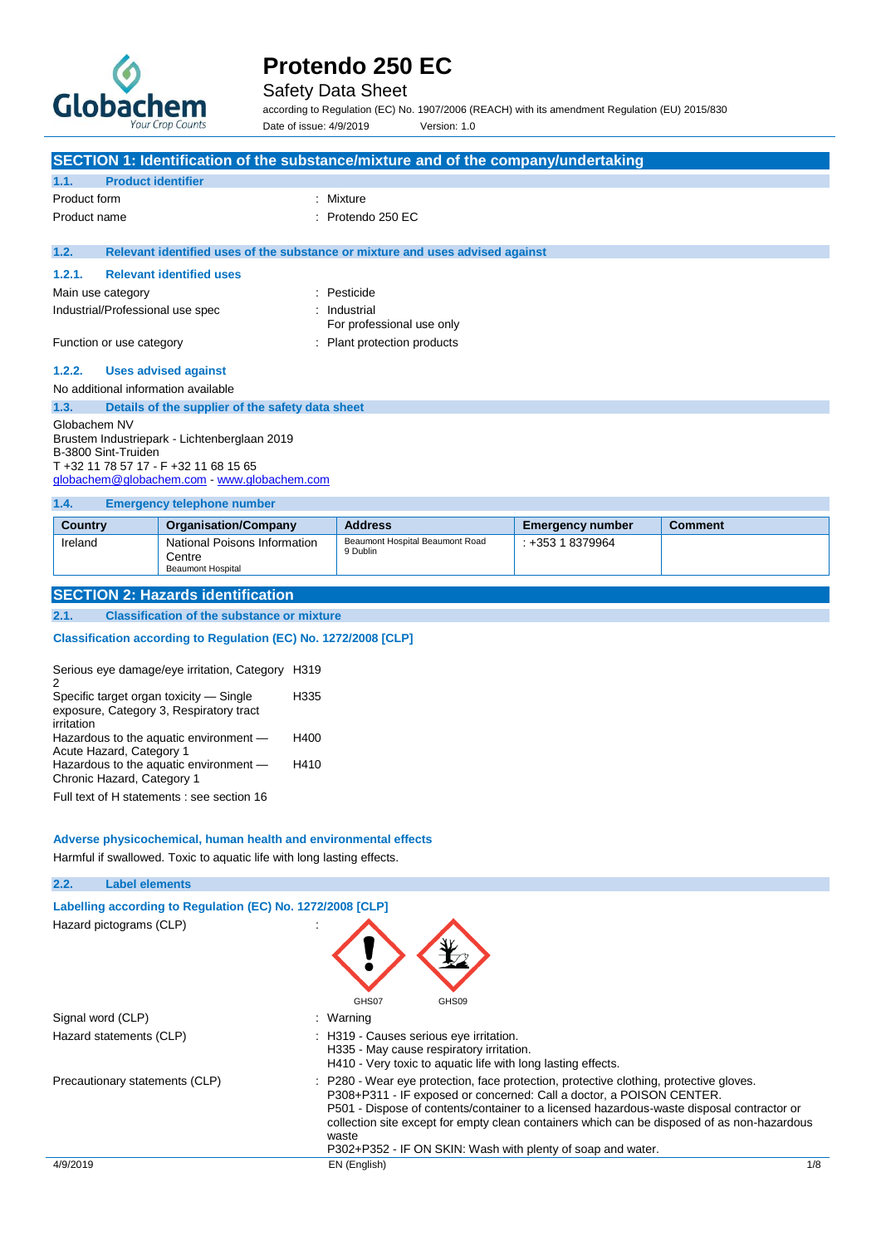

## Safety Data Sheet

according to Regulation (EC) No. 1907/2006 (REACH) with its amendment Regulation (EU) 2015/830 Date of issue: 4/9/2019 Version: 1.0

|                                                                                                                                                                           | SECTION 1: Identification of the substance/mixture and of the company/undertaking |                                                                               |  |  |
|---------------------------------------------------------------------------------------------------------------------------------------------------------------------------|-----------------------------------------------------------------------------------|-------------------------------------------------------------------------------|--|--|
| 1.1.                                                                                                                                                                      | <b>Product identifier</b>                                                         |                                                                               |  |  |
| Product form                                                                                                                                                              |                                                                                   | : Mixture                                                                     |  |  |
| Product name                                                                                                                                                              |                                                                                   | $:$ Protendo 250 EC                                                           |  |  |
| 1.2.                                                                                                                                                                      |                                                                                   | Relevant identified uses of the substance or mixture and uses advised against |  |  |
| 1.2.1.                                                                                                                                                                    | <b>Relevant identified uses</b>                                                   |                                                                               |  |  |
| Main use category                                                                                                                                                         |                                                                                   | : Pesticide                                                                   |  |  |
| Industrial/Professional use spec                                                                                                                                          |                                                                                   | : Industrial<br>For professional use only                                     |  |  |
| Function or use category                                                                                                                                                  |                                                                                   | : Plant protection products                                                   |  |  |
| 1.2.2.                                                                                                                                                                    | <b>Uses advised against</b>                                                       |                                                                               |  |  |
|                                                                                                                                                                           | No additional information available                                               |                                                                               |  |  |
| 1.3.                                                                                                                                                                      | Details of the supplier of the safety data sheet                                  |                                                                               |  |  |
| Globachem NV<br>Brustem Industriepark - Lichtenberglaan 2019<br>B-3800 Sint-Truiden<br>T +32 11 78 57 17 - F +32 11 68 15 65<br>globachem@globachem.com www.globachem.com |                                                                                   |                                                                               |  |  |
| 1.4.                                                                                                                                                                      | <b>Emergency telephone number</b>                                                 |                                                                               |  |  |

| Country | <b>Organisation/Company</b>                                        | <b>Address</b>                              | <b>Emergency number</b> | <b>Comment</b> |
|---------|--------------------------------------------------------------------|---------------------------------------------|-------------------------|----------------|
| Ireland | National Poisons Information<br>Centre<br><b>Beaumont Hospital</b> | Beaumont Hospital Beaumont Road<br>9 Dublin | : +353 1 8379964        |                |

## **SECTION 2: Hazards identification**

### **2.1. Classification of the substance or mixture**

## **Classification according to Regulation (EC) No. 1272/2008 [CLP]**

| Serious eye damage/eye irritation, Category H319<br>2                              |      |
|------------------------------------------------------------------------------------|------|
| Specific target organ toxicity - Single<br>exposure, Category 3, Respiratory tract | H335 |
| irritation                                                                         |      |
| Hazardous to the aquatic environment -                                             | H400 |
| Acute Hazard, Category 1                                                           |      |
| Hazardous to the aquatic environment -                                             | H410 |
| Chronic Hazard, Category 1                                                         |      |
|                                                                                    |      |

Full text of H statements : see section 16

#### **Adverse physicochemical, human health and environmental effects**

Harmful if swallowed. Toxic to aquatic life with long lasting effects.

| 2.2.     | <b>Label elements</b>                                      |                                                                                                                                                                                                                                                                                                                                                                                                                                    |              |
|----------|------------------------------------------------------------|------------------------------------------------------------------------------------------------------------------------------------------------------------------------------------------------------------------------------------------------------------------------------------------------------------------------------------------------------------------------------------------------------------------------------------|--------------|
|          | Labelling according to Regulation (EC) No. 1272/2008 [CLP] |                                                                                                                                                                                                                                                                                                                                                                                                                                    |              |
|          | Hazard pictograms (CLP)                                    | GHS07<br>GHS09                                                                                                                                                                                                                                                                                                                                                                                                                     |              |
|          | Signal word (CLP)                                          | : Warning                                                                                                                                                                                                                                                                                                                                                                                                                          |              |
|          | Hazard statements (CLP)                                    | : H319 - Causes serious eye irritation.<br>H335 - May cause respiratory irritation.<br>H410 - Very toxic to aquatic life with long lasting effects.                                                                                                                                                                                                                                                                                |              |
|          | Precautionary statements (CLP)                             | : P280 - Wear eye protection, face protection, protective clothing, protective gloves.<br>P308+P311 - IF exposed or concerned: Call a doctor, a POISON CENTER.<br>P501 - Dispose of contents/container to a licensed hazardous-waste disposal contractor or<br>collection site except for empty clean containers which can be disposed of as non-hazardous<br>waste<br>P302+P352 - IF ON SKIN: Wash with plenty of soap and water. |              |
| 4/9/2019 |                                                            | EN (English)                                                                                                                                                                                                                                                                                                                                                                                                                       | $1/\epsilon$ |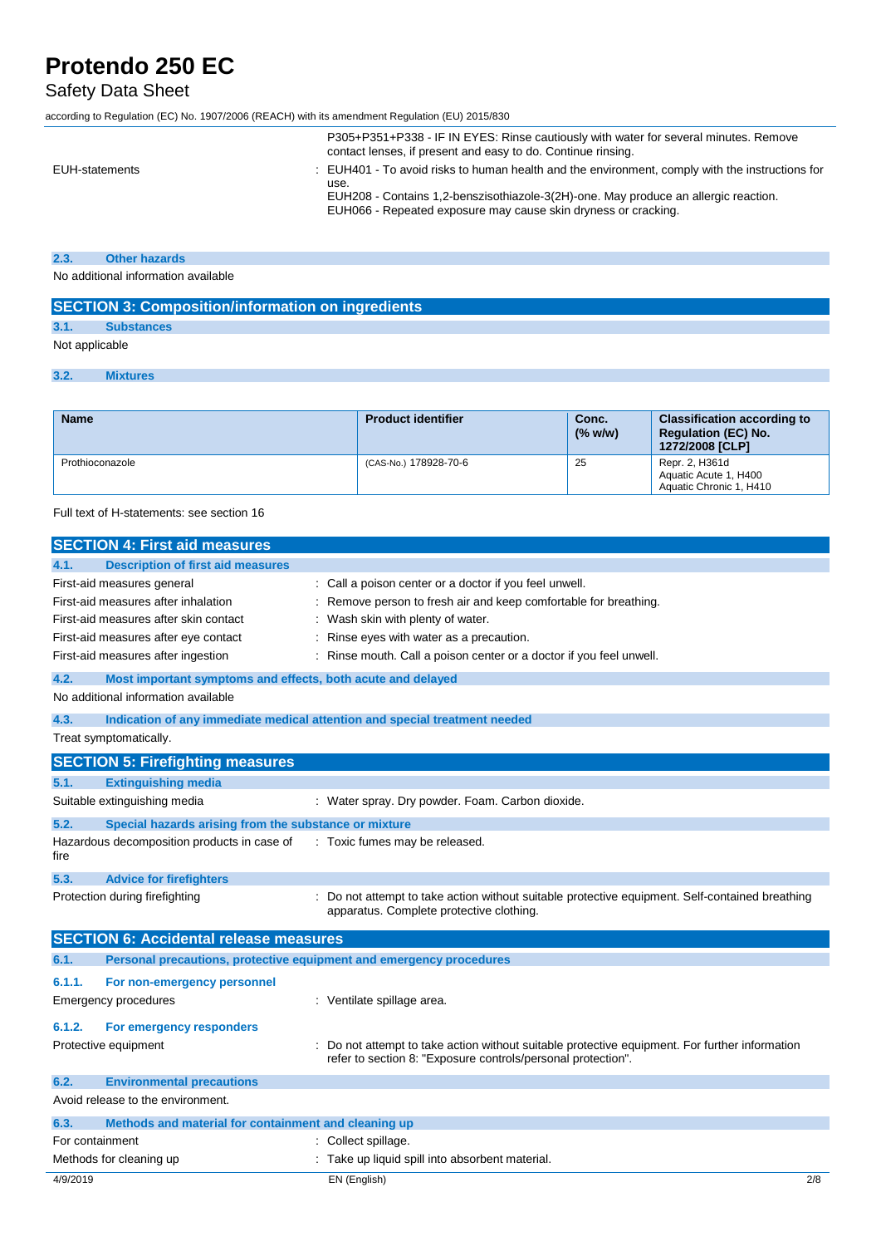## Safety Data Sheet

according to Regulation (EC) No. 1907/2006 (REACH) with its amendment Regulation (EU) 2015/830

|                | P305+P351+P338 - IF IN EYES: Rinse cautiously with water for several minutes. Remove<br>contact lenses, if present and easy to do. Continue rinsing.                                                                                                             |
|----------------|------------------------------------------------------------------------------------------------------------------------------------------------------------------------------------------------------------------------------------------------------------------|
| EUH-statements | . EUH401 - To avoid risks to human health and the environment, comply with the instructions for<br>use.<br>EUH208 - Contains 1,2-benszisothiazole-3(2H)-one. May produce an allergic reaction.<br>EUH066 - Repeated exposure may cause skin dryness or cracking. |

## **2.3. Other hazards**

No additional information available

| <b>SECTION 3: Composition/information on ingredients</b> |                   |  |
|----------------------------------------------------------|-------------------|--|
|                                                          | <b>Substances</b> |  |
| Not applicable                                           |                   |  |
|                                                          | <b>Mixtures</b>   |  |

| <b>Name</b>     | <b>Product identifier</b> | Conc.<br>(% w/w) | <b>Classification according to</b><br><b>Regulation (EC) No.</b><br>1272/2008 [CLP] |
|-----------------|---------------------------|------------------|-------------------------------------------------------------------------------------|
| Prothioconazole | (CAS-No.) 178928-70-6     | 25               | Repr. 2, H361d<br>Aquatic Acute 1, H400<br>Aquatic Chronic 1, H410                  |

Full text of H-statements: see section 16

|                                      | <b>SECTION 4: First aid measures</b>                                       |  |                                                                                                                                                              |  |  |
|--------------------------------------|----------------------------------------------------------------------------|--|--------------------------------------------------------------------------------------------------------------------------------------------------------------|--|--|
| 4.1.                                 | <b>Description of first aid measures</b>                                   |  |                                                                                                                                                              |  |  |
|                                      | First-aid measures general                                                 |  | : Call a poison center or a doctor if you feel unwell.                                                                                                       |  |  |
|                                      | First-aid measures after inhalation                                        |  | Remove person to fresh air and keep comfortable for breathing.                                                                                               |  |  |
|                                      | First-aid measures after skin contact                                      |  | Wash skin with plenty of water.                                                                                                                              |  |  |
|                                      | First-aid measures after eye contact                                       |  | Rinse eyes with water as a precaution.                                                                                                                       |  |  |
|                                      | First-aid measures after ingestion                                         |  | Rinse mouth. Call a poison center or a doctor if you feel unwell.                                                                                            |  |  |
| 4.2.                                 | Most important symptoms and effects, both acute and delayed                |  |                                                                                                                                                              |  |  |
|                                      | No additional information available                                        |  |                                                                                                                                                              |  |  |
| 4.3.                                 | Indication of any immediate medical attention and special treatment needed |  |                                                                                                                                                              |  |  |
|                                      | Treat symptomatically.                                                     |  |                                                                                                                                                              |  |  |
|                                      | <b>SECTION 5: Firefighting measures</b>                                    |  |                                                                                                                                                              |  |  |
| 5.1.                                 | <b>Extinguishing media</b>                                                 |  |                                                                                                                                                              |  |  |
|                                      | Suitable extinguishing media                                               |  | : Water spray. Dry powder. Foam. Carbon dioxide.                                                                                                             |  |  |
| 5.2.                                 | Special hazards arising from the substance or mixture                      |  |                                                                                                                                                              |  |  |
| fire                                 | Hazardous decomposition products in case of                                |  | : Toxic fumes may be released.                                                                                                                               |  |  |
| 5.3.                                 | <b>Advice for firefighters</b>                                             |  |                                                                                                                                                              |  |  |
|                                      | Protection during firefighting                                             |  | Do not attempt to take action without suitable protective equipment. Self-contained breathing<br>apparatus. Complete protective clothing.                    |  |  |
|                                      | <b>SECTION 6: Accidental release measures</b>                              |  |                                                                                                                                                              |  |  |
| 6.1.                                 | Personal precautions, protective equipment and emergency procedures        |  |                                                                                                                                                              |  |  |
| 6.1.1.                               | For non-emergency personnel                                                |  |                                                                                                                                                              |  |  |
|                                      | <b>Emergency procedures</b>                                                |  | : Ventilate spillage area.                                                                                                                                   |  |  |
| 6.1.2.                               | For emergency responders                                                   |  |                                                                                                                                                              |  |  |
|                                      | Protective equipment                                                       |  | Do not attempt to take action without suitable protective equipment. For further information<br>refer to section 8: "Exposure controls/personal protection". |  |  |
| 6.2.                                 | <b>Environmental precautions</b>                                           |  |                                                                                                                                                              |  |  |
|                                      | Avoid release to the environment.                                          |  |                                                                                                                                                              |  |  |
| 6.3.                                 | Methods and material for containment and cleaning up                       |  |                                                                                                                                                              |  |  |
| Collect spillage.<br>For containment |                                                                            |  |                                                                                                                                                              |  |  |
| Methods for cleaning up              |                                                                            |  | Take up liquid spill into absorbent material.                                                                                                                |  |  |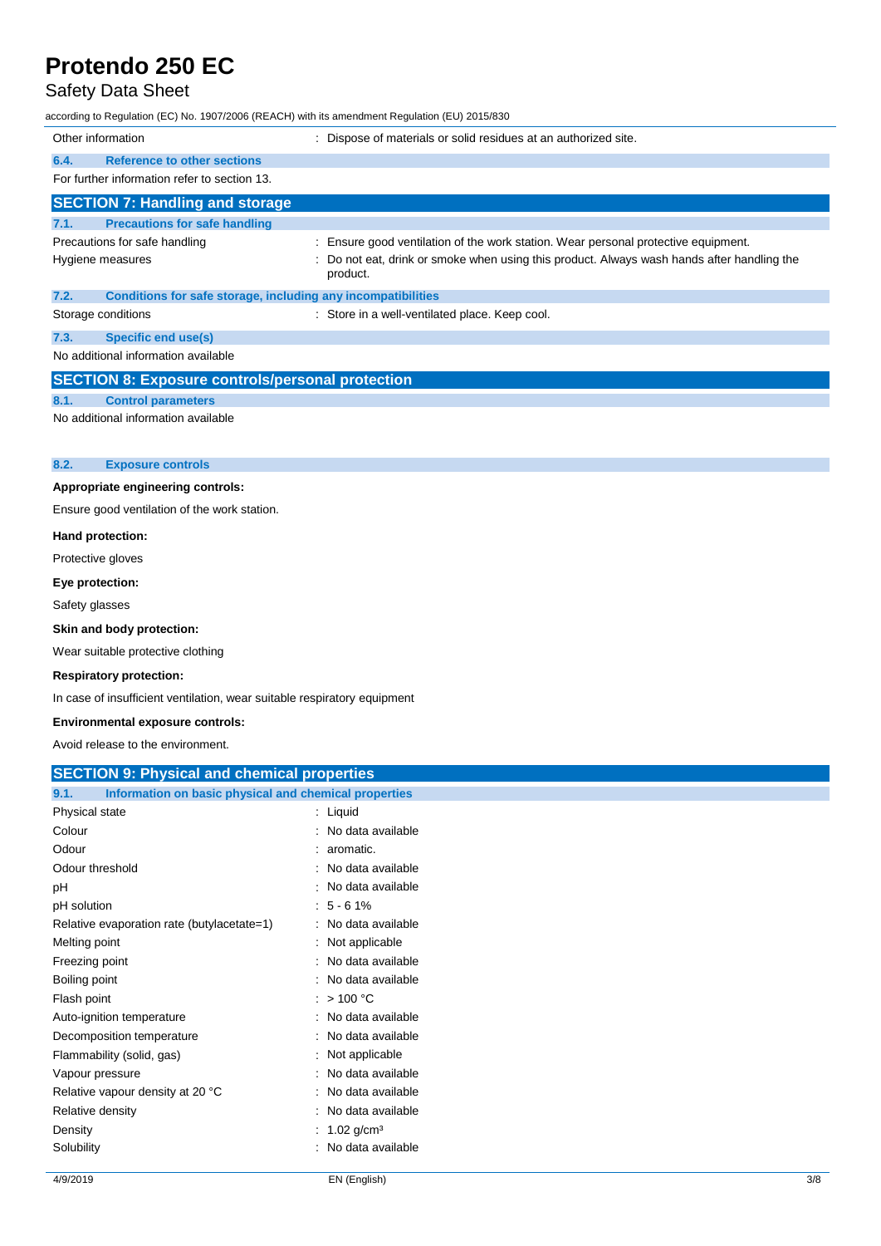## Safety Data Sheet

according to Regulation (EC) No. 1907/2006 (REACH) with its amendment Regulation (EU) 2015/830

| Other information                            |                                                              | : Dispose of materials or solid residues at an authorized site.                                      |  |  |
|----------------------------------------------|--------------------------------------------------------------|------------------------------------------------------------------------------------------------------|--|--|
| 6.4.                                         | <b>Reference to other sections</b>                           |                                                                                                      |  |  |
|                                              | For further information refer to section 13.                 |                                                                                                      |  |  |
|                                              | <b>SECTION 7: Handling and storage</b>                       |                                                                                                      |  |  |
| 7.1.                                         | <b>Precautions for safe handling</b>                         |                                                                                                      |  |  |
|                                              | Precautions for safe handling                                | : Ensure good ventilation of the work station. Wear personal protective equipment.                   |  |  |
|                                              | Hygiene measures                                             | Do not eat, drink or smoke when using this product. Always wash hands after handling the<br>product. |  |  |
| 7.2.                                         | Conditions for safe storage, including any incompatibilities |                                                                                                      |  |  |
|                                              | Storage conditions                                           | : Store in a well-ventilated place. Keep cool.                                                       |  |  |
| 7.3.                                         | <b>Specific end use(s)</b>                                   |                                                                                                      |  |  |
|                                              | No additional information available                          |                                                                                                      |  |  |
|                                              | <b>SECTION 8: Exposure controls/personal protection</b>      |                                                                                                      |  |  |
| 8.1.                                         | <b>Control parameters</b>                                    |                                                                                                      |  |  |
| No additional information available          |                                                              |                                                                                                      |  |  |
| 8.2.                                         | <b>Exposure controls</b>                                     |                                                                                                      |  |  |
| Appropriate engineering controls:            |                                                              |                                                                                                      |  |  |
| Ensure good ventilation of the work station. |                                                              |                                                                                                      |  |  |
| Hand protection:                             |                                                              |                                                                                                      |  |  |
|                                              | Protective gloves                                            |                                                                                                      |  |  |
|                                              | Eye protection:                                              |                                                                                                      |  |  |
|                                              | Safety glasses                                               |                                                                                                      |  |  |

### **Skin and body protection:**

Wear suitable protective clothing

#### **Respiratory protection:**

In case of insufficient ventilation, wear suitable respiratory equipment

#### **Environmental exposure controls:**

Avoid release to the environment.

| <b>SECTION 9: Physical and chemical properties</b> |  |
|----------------------------------------------------|--|
|                                                    |  |

| Information on basic physical and chemical properties<br>9.1. |                            |
|---------------------------------------------------------------|----------------------------|
| Physical state                                                | $:$ Liquid                 |
| Colour                                                        | : No data available        |
| Odour                                                         | $: a$ romatic.             |
| Odour threshold                                               | : No data available        |
| рH                                                            | : No data available        |
| pH solution                                                   | $: 5 - 61\%$               |
| Relative evaporation rate (butylacetate=1)                    | : No data available        |
| Melting point                                                 | : Not applicable           |
| Freezing point                                                | : No data available        |
| Boiling point                                                 | : No data available        |
| Flash point                                                   | $:$ > 100 °C               |
| Auto-ignition temperature                                     | : No data available        |
| Decomposition temperature                                     | : No data available        |
| Flammability (solid, gas)                                     | : Not applicable           |
| Vapour pressure                                               | : No data available        |
| Relative vapour density at 20 °C                              | : No data available        |
| Relative density                                              | : No data available        |
| Density                                                       | : $1.02$ g/cm <sup>3</sup> |
| Solubility                                                    | : No data available        |
|                                                               |                            |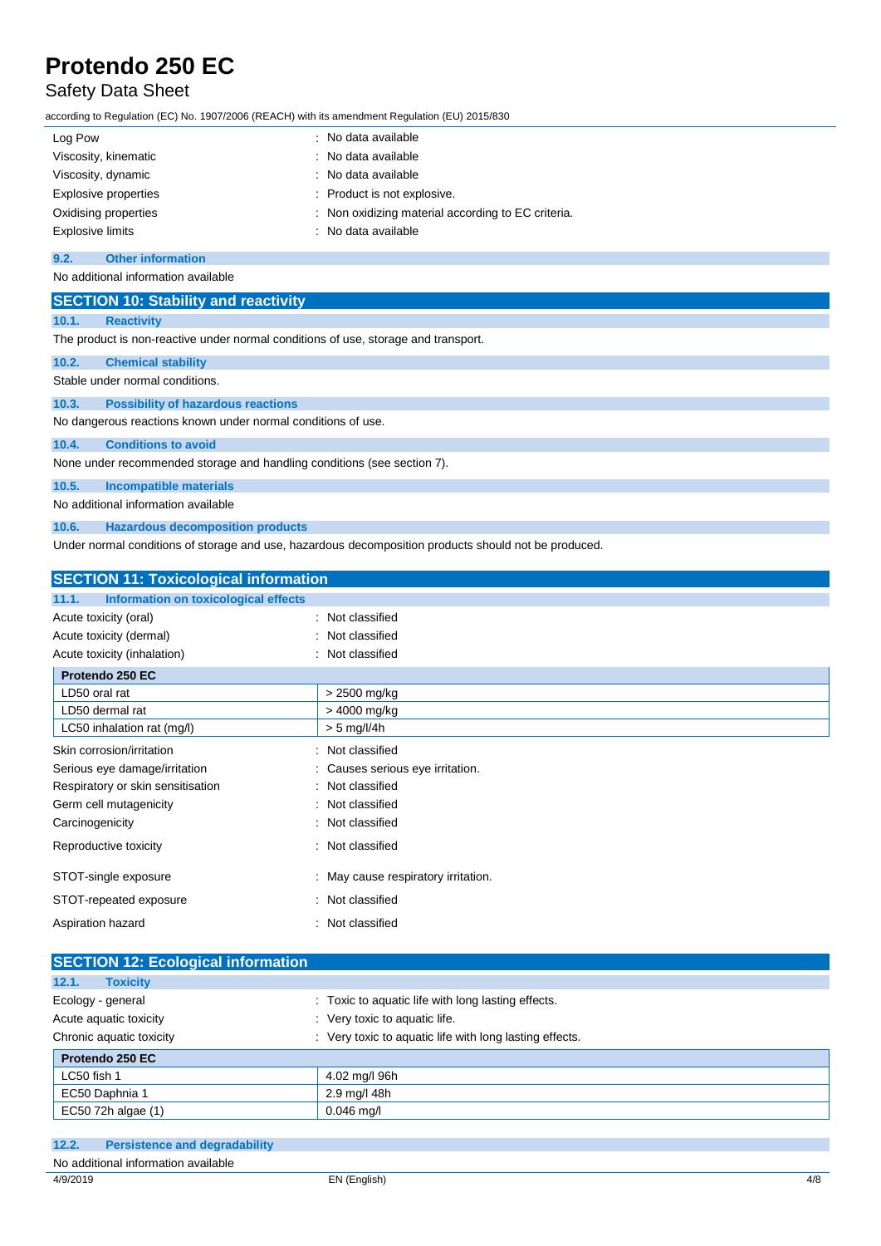## Safety Data Sheet

according to Regulation (EC) No. 1907/2006 (REACH) with its amendment Regulation (EU) 2015/830

| Log Pow              | : No data available                                |
|----------------------|----------------------------------------------------|
| Viscosity, kinematic | : No data available                                |
| Viscosity, dynamic   | : No data available                                |
| Explosive properties | : Product is not explosive.                        |
| Oxidising properties | : Non oxidizing material according to EC criteria. |
| Explosive limits     | : No data available                                |

#### **9.2. Other information**

No additional information available

| <b>SECTION 10: Stability and reactivity</b> |                                                                                    |  |
|---------------------------------------------|------------------------------------------------------------------------------------|--|
| 10.1.                                       | <b>Reactivity</b>                                                                  |  |
|                                             | The product is non-reactive under normal conditions of use, storage and transport. |  |
| 10.2.                                       | <b>Chemical stability</b>                                                          |  |
|                                             | Stable under normal conditions.                                                    |  |
| 10.3.                                       | <b>Possibility of hazardous reactions</b>                                          |  |
|                                             | No dangerous reactions known under normal conditions of use.                       |  |
| 10.4.                                       | <b>Conditions to avoid</b>                                                         |  |
|                                             | None under recommended storage and handling conditions (see section 7).            |  |
| 10.5.                                       | <b>Incompatible materials</b>                                                      |  |
|                                             | No additional information available                                                |  |
| 10.6.                                       | <b>Hazardous decomposition products</b>                                            |  |

Under normal conditions of storage and use, hazardous decomposition products should not be produced.

| <b>SECTION 11: Toxicological information</b>  |                                   |  |
|-----------------------------------------------|-----------------------------------|--|
| Information on toxicological effects<br>11.1. |                                   |  |
| Acute toxicity (oral)                         | Not classified                    |  |
| Acute toxicity (dermal)                       | Not classified                    |  |
| Acute toxicity (inhalation)                   | Not classified                    |  |
| Protendo 250 EC                               |                                   |  |
| LD50 oral rat                                 | > 2500 mg/kg                      |  |
| LD50 dermal rat                               | > 4000 mg/kg                      |  |
| LC50 inhalation rat (mg/l)                    | $> 5$ mg/l/4h                     |  |
| Skin corrosion/irritation                     | Not classified                    |  |
| Serious eye damage/irritation                 | Causes serious eye irritation.    |  |
| Respiratory or skin sensitisation             | Not classified                    |  |
| Germ cell mutagenicity                        | Not classified                    |  |
| Carcinogenicity                               | Not classified<br>۰.              |  |
| Reproductive toxicity                         | Not classified                    |  |
| STOT-single exposure                          | May cause respiratory irritation. |  |
| STOT-repeated exposure                        | : Not classified                  |  |
| Aspiration hazard                             | Not classified                    |  |

| <b>SECTION 12: Ecological information</b> |                                                         |  |
|-------------------------------------------|---------------------------------------------------------|--|
| 12.1.<br><b>Toxicity</b>                  |                                                         |  |
| Ecology - general                         | : Toxic to aquatic life with long lasting effects.      |  |
| Acute aquatic toxicity                    | : Very toxic to aquatic life.                           |  |
| Chronic aquatic toxicity                  | : Very toxic to aquatic life with long lasting effects. |  |
| Protendo 250 EC                           |                                                         |  |
| LC50 fish 1                               | 4.02 mg/l 96h                                           |  |
| EC50 Daphnia 1                            | 2.9 mg/l 48h                                            |  |
| EC50 72h algae (1)                        | $0.046$ mg/l                                            |  |

| 12.2.    | <b>Persistence and degradability</b> |              |     |
|----------|--------------------------------------|--------------|-----|
|          | No additional information available  |              |     |
| 4/9/2019 |                                      | EN (English) | 4/8 |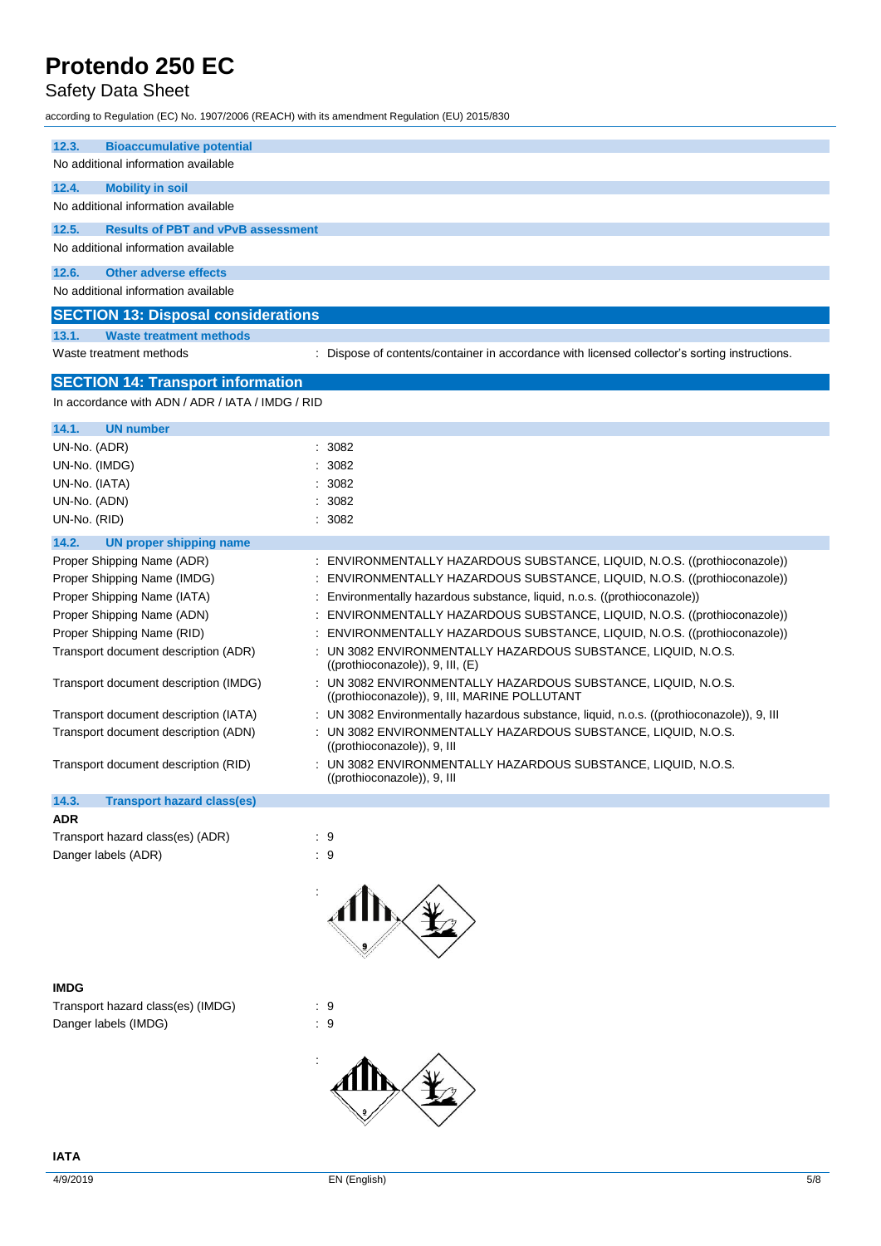## Safety Data Sheet

according to Regulation (EC) No. 1907/2006 (REACH) with its amendment Regulation (EU) 2015/830

| 12.3.<br><b>Bioaccumulative potential</b><br>No additional information available |                                                                                                                |
|----------------------------------------------------------------------------------|----------------------------------------------------------------------------------------------------------------|
| 12.4.<br><b>Mobility in soil</b>                                                 |                                                                                                                |
| No additional information available                                              |                                                                                                                |
| 12.5.<br><b>Results of PBT and vPvB assessment</b>                               |                                                                                                                |
| No additional information available                                              |                                                                                                                |
| 12.6.<br><b>Other adverse effects</b>                                            |                                                                                                                |
| No additional information available                                              |                                                                                                                |
| <b>SECTION 13: Disposal considerations</b>                                       |                                                                                                                |
| 13.1.<br><b>Waste treatment methods</b>                                          |                                                                                                                |
| Waste treatment methods                                                          | Dispose of contents/container in accordance with licensed collector's sorting instructions.                    |
| <b>SECTION 14: Transport information</b>                                         |                                                                                                                |
| In accordance with ADN / ADR / IATA / IMDG / RID                                 |                                                                                                                |
| <b>UN number</b><br>14.1.                                                        |                                                                                                                |
| UN-No. (ADR)                                                                     | : 3082                                                                                                         |
| UN-No. (IMDG)                                                                    | 3082                                                                                                           |
| UN-No. (IATA)                                                                    | 3082                                                                                                           |
| UN-No. (ADN)                                                                     | 3082                                                                                                           |
| UN-No. (RID)                                                                     | 3082                                                                                                           |
| 14.2.<br><b>UN proper shipping name</b>                                          |                                                                                                                |
| Proper Shipping Name (ADR)<br>÷                                                  | ENVIRONMENTALLY HAZARDOUS SUBSTANCE, LIQUID, N.O.S. ((prothioconazole))                                        |
| Proper Shipping Name (IMDG)                                                      | ENVIRONMENTALLY HAZARDOUS SUBSTANCE, LIQUID, N.O.S. ((prothioconazole))                                        |
| Proper Shipping Name (IATA)                                                      | Environmentally hazardous substance, liquid, n.o.s. ((prothioconazole))                                        |
| Proper Shipping Name (ADN)                                                       | ENVIRONMENTALLY HAZARDOUS SUBSTANCE, LIQUID, N.O.S. ((prothioconazole))                                        |
| Proper Shipping Name (RID)                                                       | ENVIRONMENTALLY HAZARDOUS SUBSTANCE, LIQUID, N.O.S. ((prothioconazole))                                        |
| Transport document description (ADR)                                             | : UN 3082 ENVIRONMENTALLY HAZARDOUS SUBSTANCE, LIQUID, N.O.S.<br>$((prothioconazole)$ , 9, III, $(E)$          |
| Transport document description (IMDG)                                            | : UN 3082 ENVIRONMENTALLY HAZARDOUS SUBSTANCE, LIQUID, N.O.S.<br>((prothioconazole)), 9, III, MARINE POLLUTANT |
| Transport document description (IATA)                                            | : UN 3082 Environmentally hazardous substance, liquid, n.o.s. ((prothioconazole)), 9, III                      |
| Transport document description (ADN)                                             | : UN 3082 ENVIRONMENTALLY HAZARDOUS SUBSTANCE, LIQUID, N.O.S.<br>((prothioconazole)), 9, III                   |
| Transport document description (RID)                                             | UN 3082 ENVIRONMENTALLY HAZARDOUS SUBSTANCE, LIQUID, N.O.S.<br>((prothioconazole)), 9, III                     |
| 14.3.<br><b>Transport hazard class(es)</b>                                       |                                                                                                                |
| <b>ADR</b>                                                                       |                                                                                                                |
| Transport hazard class(es) (ADR)                                                 | :9                                                                                                             |
| Danger labels (ADR)                                                              | $\therefore$ 9                                                                                                 |
|                                                                                  |                                                                                                                |
| <b>IMDG</b>                                                                      |                                                                                                                |
| Transport hazard class(es) (IMDG)                                                | $\cdot$ 9                                                                                                      |
| Danger Jahole (IMDG)                                                             | ۰ - م                                                                                                          |

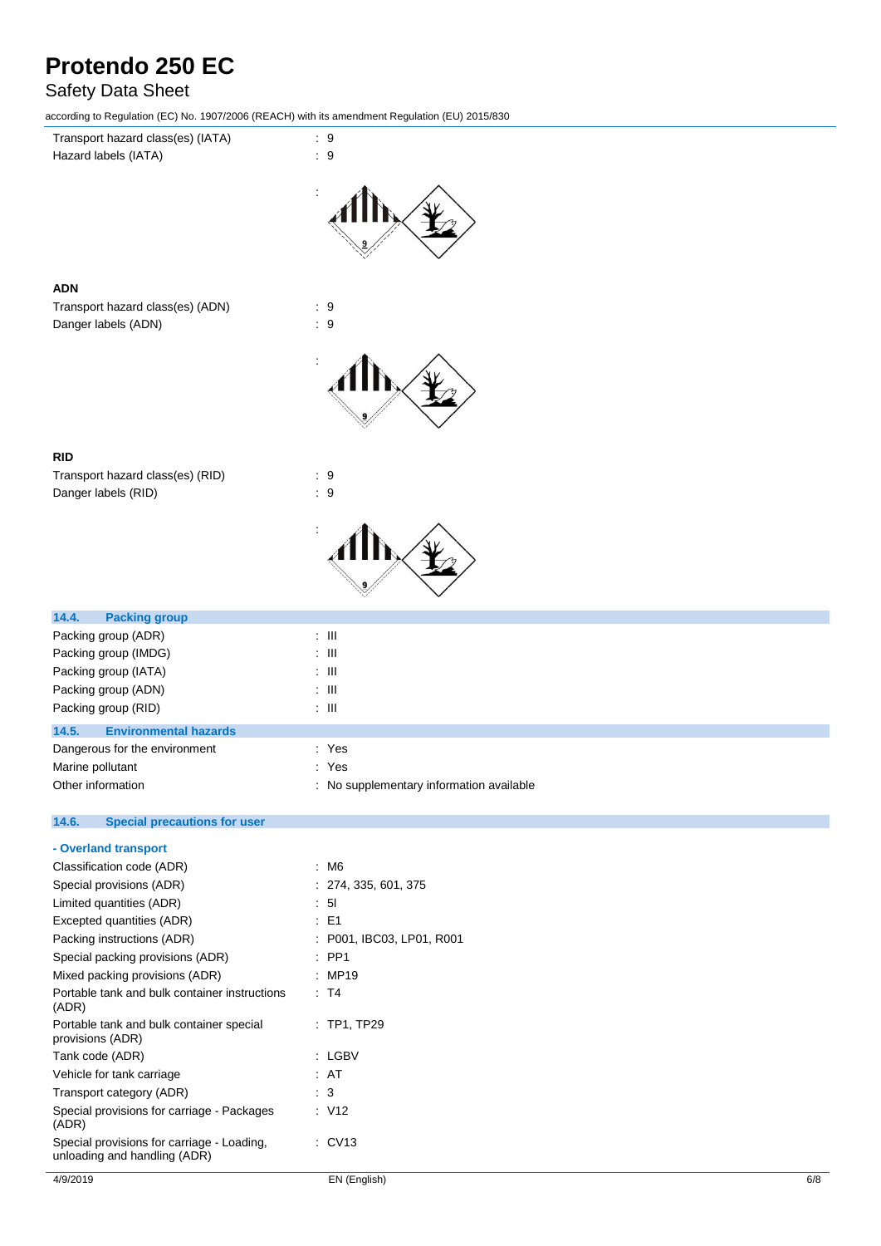## Safety Data Sheet

according to Regulation (EC) No. 1907/2006 (REACH) with its amendment Regulation (EU) 2015/830



| 14.5. | <b>Environmental hazards</b>  |                                          |
|-------|-------------------------------|------------------------------------------|
|       | Dangerous for the environment | : Yes                                    |
|       | Marine pollutant              | : Yes                                    |
|       | Other information             | : No supplementary information available |

#### 14.6. **14.6. Special precautions for user**

| 4/9/2019                                                                   | EN (English)              | 6/8 |
|----------------------------------------------------------------------------|---------------------------|-----|
| Special provisions for carriage - Loading,<br>unloading and handling (ADR) | $\therefore$ CV13         |     |
| Special provisions for carriage - Packages<br>(ADR)                        | : V12                     |     |
| Transport category (ADR)                                                   | $\therefore$ 3            |     |
| Vehicle for tank carriage                                                  | : AT                      |     |
| Tank code (ADR)                                                            | : LGBV                    |     |
| Portable tank and bulk container special<br>provisions (ADR)               | $:$ TP1, TP29             |     |
| Portable tank and bulk container instructions<br>(ADR)                     | $\therefore$ T4           |     |
| Mixed packing provisions (ADR)                                             | : MP19                    |     |
| Special packing provisions (ADR)                                           | $\therefore$ PP1          |     |
| Packing instructions (ADR)                                                 | : P001, IBC03, LP01, R001 |     |
| Excepted quantities (ADR)                                                  | $\therefore$ E1           |     |
| Limited quantities (ADR)                                                   | : 51                      |     |
| Special provisions (ADR)                                                   | : 274, 335, 601, 375      |     |
| Classification code (ADR)                                                  | $~\cdot~$ M6              |     |
| - Overland transport                                                       |                           |     |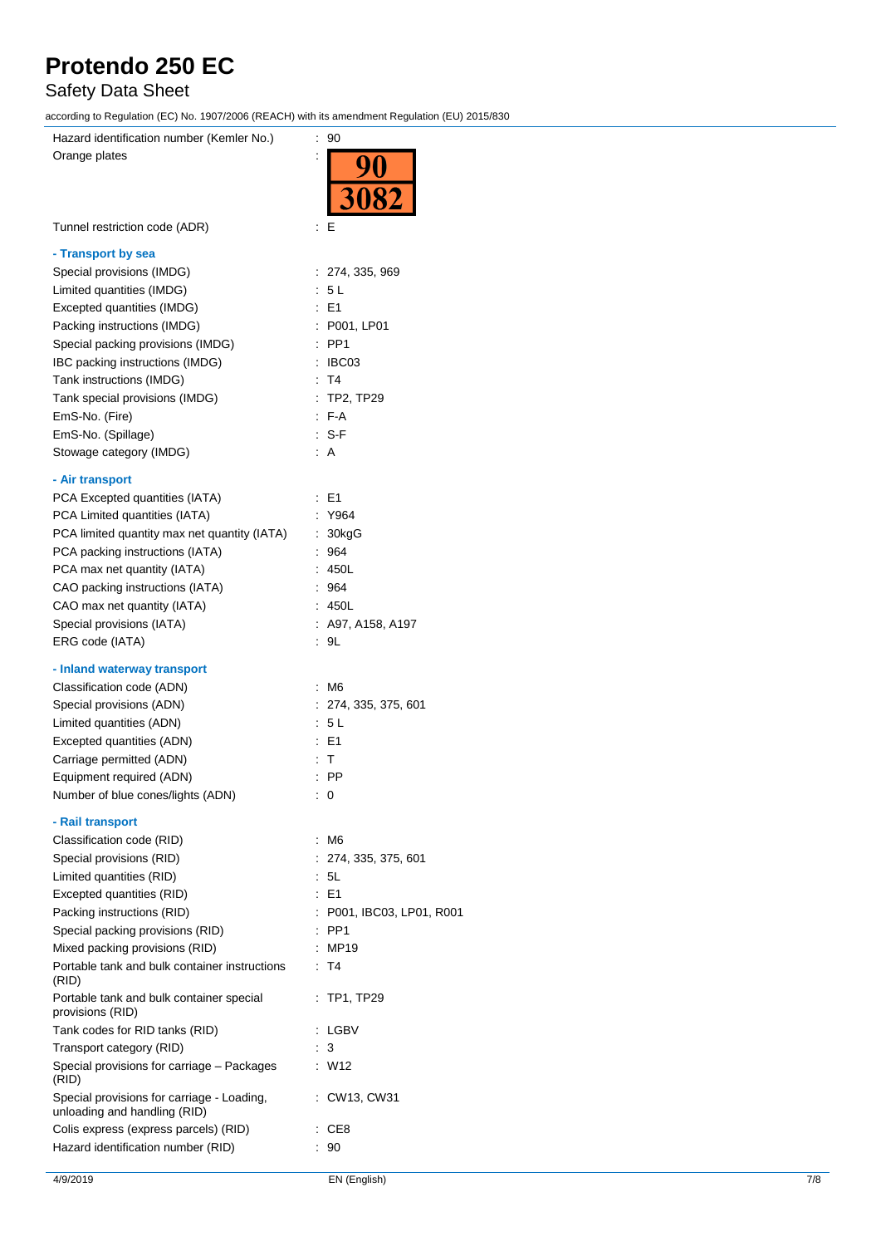## Safety Data Sheet

according to Regulation (EC) No. 1907/2006 (REACH) with its amendment Regulation (EU) 2015/830

| .                                                                          |                               |
|----------------------------------------------------------------------------|-------------------------------|
| Hazard identification number (Kemler No.)                                  | : 90                          |
| Orange plates                                                              |                               |
|                                                                            |                               |
|                                                                            | 3082                          |
|                                                                            |                               |
| Tunnel restriction code (ADR)                                              | Е<br>İ                        |
|                                                                            |                               |
| - Transport by sea                                                         |                               |
| Special provisions (IMDG)                                                  | : 274, 335, 969               |
| Limited quantities (IMDG)                                                  | : 5L                          |
| Excepted quantities (IMDG)                                                 | $E = 1$                       |
| Packing instructions (IMDG)                                                | P001, LP01                    |
| Special packing provisions (IMDG)                                          | PP <sub>1</sub>               |
| IBC packing instructions (IMDG)                                            | IBC03<br>t                    |
| Tank instructions (IMDG)                                                   | T <sub>4</sub><br>÷           |
| Tank special provisions (IMDG)                                             | TP2, TP29<br>÷                |
| EmS-No. (Fire)                                                             | F-A<br>÷                      |
| EmS-No. (Spillage)                                                         | : S-F                         |
| Stowage category (IMDG)                                                    | : A                           |
|                                                                            |                               |
| - Air transport                                                            |                               |
| PCA Excepted quantities (IATA)                                             | E1<br>÷                       |
| PCA Limited quantities (IATA)                                              | Y964                          |
| PCA limited quantity max net quantity (IATA)                               | $\ddot{\phantom{a}}$<br>30kgG |
| PCA packing instructions (IATA)                                            | 964                           |
| PCA max net quantity (IATA)                                                | 450L                          |
| CAO packing instructions (IATA)                                            | 964                           |
| CAO max net quantity (IATA)                                                | : 450L                        |
| Special provisions (IATA)                                                  | : A97, A158, A197             |
| ERG code (IATA)                                                            | 9L                            |
|                                                                            |                               |
| - Inland waterway transport                                                |                               |
| Classification code (ADN)                                                  | : M6                          |
| Special provisions (ADN)                                                   | : 274, 335, 375, 601          |
| Limited quantities (ADN)                                                   | 5 L                           |
| Excepted quantities (ADN)                                                  | E1                            |
| Carriage permitted (ADN)                                                   | т                             |
| Equipment required (ADN)                                                   | PP                            |
| Number of blue cones/lights (ADN)                                          | : 0                           |
|                                                                            |                               |
| - Rail transport                                                           |                               |
| Classification code (RID)                                                  | M6<br>÷                       |
| Special provisions (RID)                                                   | 274, 335, 375, 601            |
| Limited quantities (RID)                                                   | 5L                            |
| Excepted quantities (RID)                                                  | $E = 1$                       |
| Packing instructions (RID)                                                 | P001, IBC03, LP01, R001       |
| Special packing provisions (RID)                                           | PP <sub>1</sub>               |
| Mixed packing provisions (RID)                                             | <b>MP19</b>                   |
| Portable tank and bulk container instructions<br>(RID)                     | T4                            |
| Portable tank and bulk container special<br>provisions (RID)               | TP1, TP29                     |
| Tank codes for RID tanks (RID)                                             | LGBV                          |
| Transport category (RID)                                                   | 3                             |
| Special provisions for carriage - Packages                                 | t<br>W12                      |
| (RID)                                                                      |                               |
| Special provisions for carriage - Loading,<br>unloading and handling (RID) | CW13, CW31                    |
| Colis express (express parcels) (RID)                                      | CE <sub>8</sub>               |
| Hazard identification number (RID)                                         | 90                            |